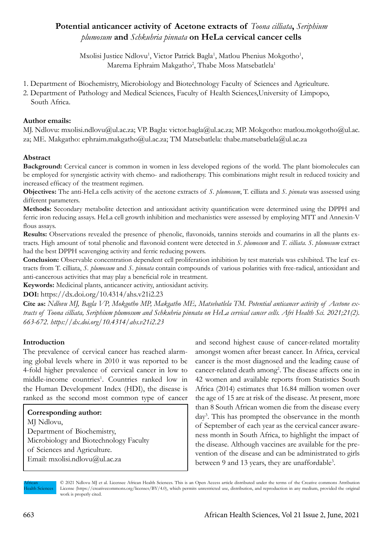# **Potential anticancer activity of Acetone extracts of** *Toona cilliata***,** *Seriphium plumosum* **and** *Schkuhria pinnata* **on HeLa cervical cancer cells**

Mxolisi Justice Ndlovu<sup>1</sup>, Victor Patrick Bagla<sup>1</sup>, Matlou Phenius Mokgotho<sup>1</sup>, Marema Ephraim Makgatho<sup>2</sup>, Thabe Moss Matsebatlela<sup>1</sup>

- 1. Department of Biochemistry, Microbiology and Biotechnology Faculty of Sciences and Agriculture.
- 2. Department of Pathology and Medical Sciences, Faculty of Health Sciences,University of Limpopo, South Africa.

### **Author emails:**

MJ. Ndlovu: mxolisi.ndlovu@ul.ac.za; VP. Bagla: victor.bagla@ul.ac.za; MP. Mokgotho: matlou.mokgotho@ul.ac. za; ME. Makgatho: ephraim.makgatho@ul.ac.za; TM Matsebatlela: thabe.matsebatlela@ul.ac.za

# **Abstract**

**Background:** Cervical cancer is common in women in less developed regions of the world. The plant biomolecules can be employed for synergistic activity with chemo- and radiotherapy. This combinations might result in reduced toxicity and increased efficacy of the treatment regimen.

**Objectives:** The anti-HeLa cells activity of the acetone extracts of *S. plumosum*, T. cilliata and *S. pinnata* was assessed using different parameters.

**Methods:** Secondary metabolite detection and antioxidant activity quantification were determined using the DPPH and ferric iron reducing assays. HeLa cell growth inhibition and mechanistics were assessed by employing MTT and Annexin-V flous assays.

Results: Observations revealed the presence of phenolic, flavonoids, tannins steroids and coumarins in all the plants extracts. High amount of total phenolic and flavonoid content were detected in *S. plumosum* and *T. cilliata*. *S. plumosum* extract had the best DPPH scavenging activity and ferric reducing powers.

**Conclusion:** Observable concentration dependent cell proliferation inhibition by test materials was exhibited. The leaf extracts from T. cilliata, *S. plumosum* and *S. pinnata* contain compounds of various polarities with free-radical, antioxidant and anti-cancerous activities that may play a beneficial role in treatment.

**Keywords:** Medicinal plants, anticancer activity, antioxidant activity.

**DOI:** https://dx.doi.org/10.4314/ahs.v21i2.23

**Cite as:** *Ndlovu MJ, Bagla VP, Mokgotho MP, Makgatho ME, Matsebatlela TM. Potential anticancer activity of Acetone extracts of Toona cilliata, Seriphium plumosum and Schkuhria pinnata on HeLa cervical cancer cells. Afri Health Sci. 2021;21(2). 663-672. https://dx.doi.org/10.4314/ahs.v21i2.23*

# **Introduction**

The prevalence of cervical cancer has reached alarming global levels where in 2010 it was reported to be 4-fold higher prevalence of cervical cancer in low to middle-income countries<sup>1</sup>. Countries ranked low in the Human Development Index (HDI), the disease is ranked as the second most common type of cancer

#### **Corresponding author:**  MJ Ndlovu,

Department of Biochemistry, Microbiology and Biotechnology Faculty of Sciences and Agriculture. Email: mxolisi.ndlovu@ul.ac.za

and second highest cause of cancer-related mortality amongst women after breast cancer. In Africa, cervical cancer is the most diagnosed and the leading cause of cancer-related death among<sup>2</sup>. The disease affects one in 42 women and available reports from Statistics South Africa (2014) estimates that 16.84 million women over the age of 15 are at risk of the disease. At present, more than 8 South African women die from the disease every day3 . This has prompted the observance in the month of September of each year as the cervical cancer awareness month in South Africa, to highlight the impact of the disease. Although vaccines are available for the prevention of the disease and can be administrated to girls between 9 and 13 years, they are unaffordable<sup>3</sup>.

African **Health Sciences**  © 2021 Ndlovu MJ et al. Licensee African Health Sciences. This is an Open Access article distributed under the terms of the Creative commons Attribution License (https://creativecommons.org/licenses/BY/4.0), which permits unrestricted use, distribution, and reproduction in any medium, provided the original work is properly cited.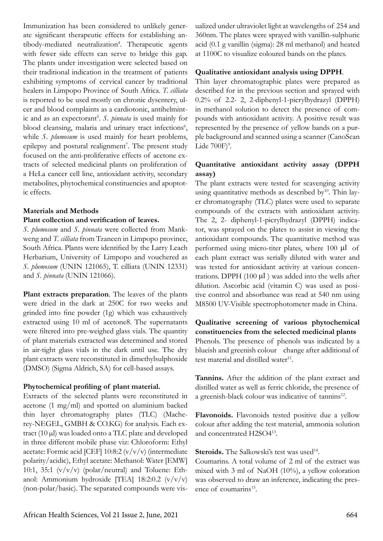Immunization has been considered to unlikely generate significant therapeutic effects for establishing antibody-mediated neutralization<sup>4</sup>. Therapeutic agents with fewer side effects can serve to bridge this gap. The plants under investigation were selected based on their traditional indication in the treatment of patients exhibiting symptoms of cervical cancer by traditional healers in Limpopo Province of South Africa. *T. cilliata* is reported to be used mostly on chronic dysentery, ulcer and blood complaints as a cardiotonic, antihelmintic and as an expectorant<sup>5</sup>. S. *pinnata* is used mainly for blood cleansing, malaria and urinary tract infections<sup>6</sup>, while *S. plumosum* is used mainly for heart problems, epilepsy and postural realignment<sup>7</sup>. The present study focused on the anti-proliferative effects of acetone extracts of selected medicinal plants on proliferation of a HeLa cancer cell line, antioxidant activity, secondary metabolites, phytochemical constituencies and apoptotic effects.

### **Materials and Methods**

#### **Plant collection and verification of leaves.**

*S. plumosum* and *S. pinnata* were collected from Mankweng and *T. cilliata* from Tzaneen in Limpopo province, South Africa. Plants were identified by the Larry Leach Herbarium, University of Limpopo and vouchered as *S. plumosum* (UNIN 121065), T. cilliata (UNIN 12331) and *S. pinnata* (UNIN 121066).

**Plant extracts preparation**. The leaves of the plants were dried in the dark at 250C for two weeks and grinded into fine powder (1g) which was exhaustively extracted using 10 ml of acetone8. The supernatants were filtered into pre-weighed glass vials. The quantity of plant materials extracted was determined and stored in air-tight glass vials in the dark until use. The dry plant extracts were reconstituted in dimethylsulphoxide (DMSO) (Sigma Aldrich, SA) for cell-based assays.

#### **Phytochemical profiling of plant material.**

Extracts of the selected plants were reconstituted in acetone (1 mg/ml) and spotted on aluminium backed thin layer chromatography plates (TLC) (Macherey-NEGEL, GMBH & CO.KG) for analysis. Each extract (10 µl) was loaded onto a TLC plate and developed in three different mobile phase viz: Chloroform: Ethyl acetate: Formic acid [CEF]  $10:8:2 \, (v/v/v)$  (intermediate polarity/acidic), Ethyl acetate: Methanol: Water [EMW] 10:1, 35:1  $(v/v/v)$  (polar/neutral) and Toluene: Ethanol: Ammonium hydroxide [TEA] 18:2:0.2  $(v/v/v)$ (non-polar/basic). The separated compounds were visualized under ultraviolet light at wavelengths of 254 and 360nm. The plates were sprayed with vanillin-sulphuric acid (0.1 g vanillin (sigma): 28 ml methanol) and heated at 1100C to visualize coloured bands on the plates.

### **Qualitative antioxidant analysis using DPPH**.

Thin layer chromatographic plates were prepared as described for in the previous section and sprayed with 0.2% of 2.2- 2, 2-diphenyl-1-picrylhydrazyl (DPPH) in methanol solution to detect the presence of compounds with antioxidant activity. A positive result was represented by the presence of yellow bands on a purple background and scanned using a scanner (CanoScan Lide  $700F$ <sup>9</sup>.

## **Quantitative antioxidant activity assay (DPPH assay)**

The plant extracts were tested for scavenging activity using quantitative methods as described by $10$ . Thin layer chromatography (TLC) plates were used to separate compounds of the extracts with antioxidant activity. The 2, 2- diphenyl-1-picrylhydrazyl (DPPH) indicator, was sprayed on the plates to assist in viewing the antioxidant compounds. The quantitative method was performed using micro-titer plates, where 100 µl of each plant extract was serially diluted with water and was tested for antioxidant activity at various concentrations. DPPH  $(100 \mu l)$  was added into the wells after dilution. Ascorbic acid (vitamin C) was used as positive control and absorbance was read at 540 nm using M8500 UV-Visible spectrophotometer made in China.

**Qualitative screening of various phytochemical constituencies from the selected medicinal plants** Phenols. The presence of phenols was indicated by a blueish and greenish colour change after additional of test material and distilled water $11$ .

**Tannins.** After the addition of the plant extract and distilled water as well as ferric chloride, the presence of a greenish-black colour was indicative of tannins<sup>12</sup>.

**Flavonoids.** Flavonoids tested positive due a yellow colour after adding the test material, ammonia solution and concentrated H2SO413.

**Steroids.** The Salkowski's test was used<sup>14</sup>.

Coumarins. A total volume of 2 ml of the extract was mixed with 3 ml of NaOH (10%), a yellow coloration was observed to draw an inference, indicating the presence of coumarins<sup>15</sup>.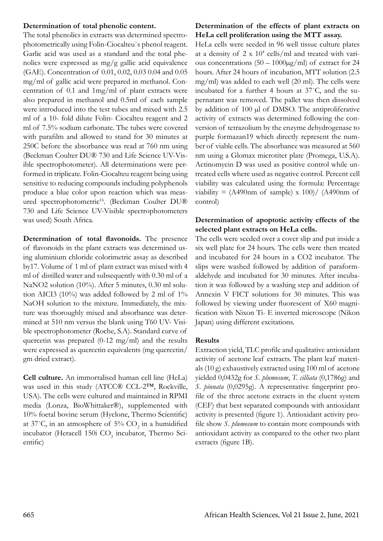### **Determination of total phenolic content.**

The total phenolics in extracts was determined spectrophotometrically using Folin-Ciocalteu`s phenol reagent. Garlic acid was used as a standard and the total phenolics were expressed as  $mg/g$  gallic acid equivalence (GAE). Concentration of 0.01, 0.02, 0.03 0.04 and 0.05 mg/ml of gallic acid were prepared in methanol. Concentration of 0.1 and 1mg/ml of plant extracts were also prepared in methanol and 0.5ml of each sample were introduced into the test tubes and mixed with 2.5 ml of a 10- fold dilute Folin- Ciocalteu reagent and 2 ml of 7.5% sodium carbonate. The tubes were covered with parafilm and allowed to stand for 30 minutes at 250C before the absorbance was read at 760 nm using (Beckman Coulter DU® 730 and Life Science UV-Visible spectrophotometer). All determinations were performed in triplicate. Folin-Ciocalteu reagent being using sensitive to reducing compounds including polyphenols produce a blue color upon reaction which was measured spectrophotometric<sup>16</sup>. (Beckman Coulter DU® 730 and Life Science UV-Visible spectrophotometers was used) South Africa.

**Determination of total flavonoids.** The presence of flavonoids in the plant extracts was determined using aluminium chloride colorimetric assay as described by17. Volume of 1 ml of plant extract was mixed with 4 ml of distilled water and subsequently with 0.30 ml of a NaNO2 solution (10%). After 5 minutes, 0.30 ml solution AICI3 (10%) was added followed by 2 ml of 1% NaOH solution to the mixture. Immediately, the mixture was thoroughly mixed and absorbance was determined at 510 nm versus the blank using T60 UV- Visible spectrophotometer (Roche, S.A). Standard curve of quercetin was prepared (0-12 mg/ml) and the results were expressed as quercetin equivalents (mg quercetin/ gm dried extract).

**Cell culture.** An immortalised human cell line (HeLa) was used in this study (ATCC® CCL-2™, Rockville, USA). The cells were cultured and maintained in RPMI media (Lonza, BioWhittaker®), supplemented with 10% foetal bovine serum (Hyclone, Thermo Scientific) at 37°C, in an atmosphere of 5%  $CO_2$  in a humidified incubator (Heracell 150i  $\text{CO}_2$  incubator, Thermo Scientific)

# **Determination of the effects of plant extracts on HeLa cell proliferation using the MTT assay.**

HeLa cells were seeded in 96 well tissue culture plates at a density of 2 x 104 cells/ml and treated with various concentrations  $(50 - 1000\mu\text{g/ml})$  of extract for 24 hours. After 24 hours of incubation, MTT solution (2.5 mg/ml) was added to each well (20 ml). The cells were incubated for a further 4 hours at 37˚C, and the supernatant was removed. The pallet was then dissolved by addition of 100 µl of DMSO. The antiproliferative activity of extracts was determined following the conversion of tetrazolium by the enzyme dehydrogenase to purple formazan19 which directly represent the number of viable cells. The absorbance was measured at 560 nm using a Glomax microtiter plate (Promega, U.S.A). Actinomycin D was used as positive control while untreated cells where used as negative control. Percent cell viability was calculated using the formula: Percentage viability =  $(A490nm \text{ of sample}) \times 100$ /  $(A490nm \text{ of}$ control)

## **Determination of apoptotic activity effects of the selected plant extracts on HeLa cells.**

The cells were seeded over a cover slip and put inside a six well plate for 24 hours. The cells were then treated and incubated for 24 hours in a CO2 incubator. The slips were washed followed by addition of paraformaldehyde and incubated for 30 minutes. After incubation it was followed by a washing step and addition of Annexin V FICT solutions for 30 minutes. This was followed by viewing under fluorescent of X60 magnification with Nixon Ti- E inverted microscope (Nikon Japan) using different excitations.

### **Results**

Extraction yield, TLC profile and qualitative antioxidant activity of acetone leaf extracts. The plant leaf materials (10 g) exhaustively extracted using 100 ml of acetone yielded 0,0432g for *S. plumosum*, *T. cilliata* (0,1786g) and *S. pinnata* (0,0295g). A representative fingerprint profile of the three acetone extracts in the eluent system (CEF) that best separated compounds with antioxidant activity is presented (figure 1). Antioxidant activity profile show *S. plumosum* to contain more compounds with antioxidant activity as compared to the other two plant extracts (figure 1B).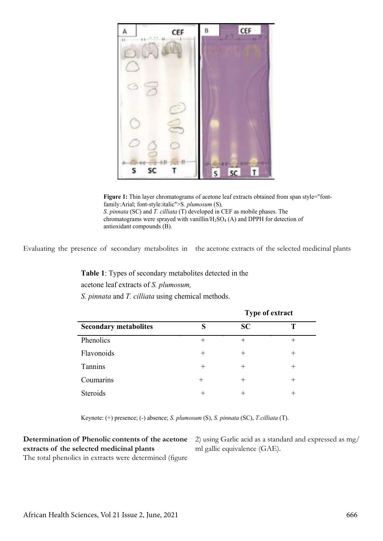

Figure 1: Thin layer chromatograms of acetone leaf extracts obtained from span style="fontfamily:Arial; font-style:italic">S. *plumosum* (S)*, S. pinnata* (SC) and *T. cilliata* (T) developed in CEF as mobile phases. The chromatograms were sprayed with vanillin/H<sub>2</sub>SO<sub>4</sub> (A) and DPPH for detection of antioxidant compounds (B).

Evaluating the presence of secondary metabolites in the acetone extracts of the selected medicinal plants

**Table 1**: Types of secondary metabolites detected in the acetone leaf extracts of *S. plumosum, S. pinnata* and *T. cilliata* using chemical methods.

|                              | <b>Type of extract</b> |      |       |
|------------------------------|------------------------|------|-------|
| <b>Secondary metabolites</b> | c                      | SC   |       |
| Phenolics                    | $\pm$                  | +    |       |
| Flavonoids                   | $^{+}$                 | $^+$ | $^+$  |
| Tannins                      | $^+$                   | $^+$ |       |
| Coumarins                    | $^{+}$                 | $^+$ | $\pm$ |
| Steroids                     | ┿                      |      |       |

Keynote: (+) presence; (-) absence; *S. plumosum* (S), *S. pinnata* (SC), *T.cilliata* (T).

# **Determination of Phenolic contents of the acetone extracts of the selected medicinal plants**

The total phenolics in extracts were determined (figure

2) using Garlic acid as a standard and expressed as mg/ ml gallic equivalence (GAE).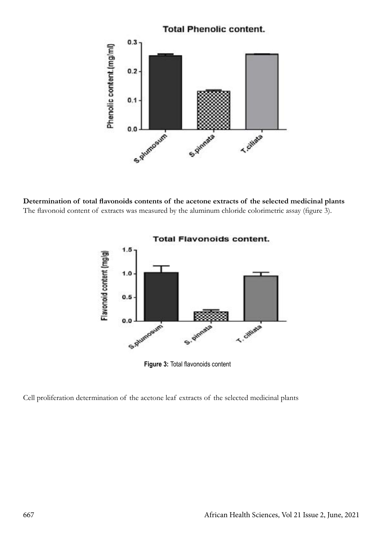

**Determination of total flavonoids contents of the acetone extracts of the selected medicinal plants** The flavonoid content of extracts was measured by the aluminum chloride colorimetric assay (figure 3).



**Figure 3:** Total flavonoids content

Cell proliferation determination of the acetone leaf extracts of the selected medicinal plants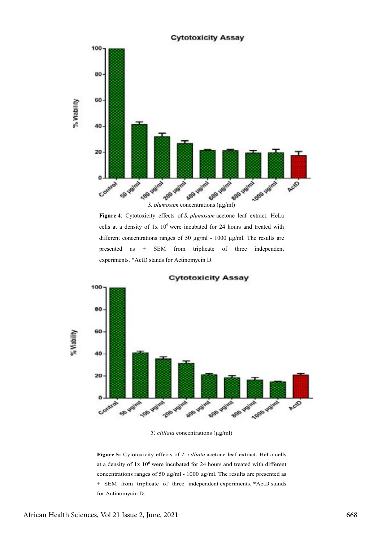

**Figure 4**: Cytotoxicity effects of *S. plumosum* acetone leaf extract. HeLa cells at a density of  $1x \frac{10^6}{x}$  were incubated for 24 hours and treated with different concentrations ranges of 50 µg/ml - 1000 µg/ml. The results are presented as ± SEM from triplicate of three independent experiments. \*ActD stands for Actinomycin D.



**Cytotoxicity Assay** 

*T. cilliata* concentrations (µg/ml)

**Figure 5:** Cytotoxicity effects of *T. cilliata* acetone leaf extract. HeLa cells at a density of  $1x 10^6$  were incubated for 24 hours and treated with different concentrations ranges of 50 µg/ml - 1000 µg/ml. The results are presented as ± SEM from triplicate of three independent experiments. \*ActD stands for Actinomycin D.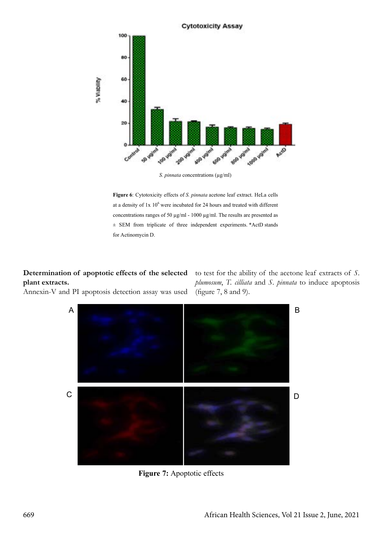

*S. pinnata* concentrations (µg/ml)

**Figure 6**: Cytotoxicity effects of *S. pinnata* acetone leaf extract. HeLa cells at a density of  $1x 10^6$  were incubated for 24 hours and treated with different concentrations ranges of 50 µg/ml - 1000 µg/ml. The results are presented as ± SEM from triplicate of three independent experiments. \*ActD stands for Actinomycin D.

# **Determination of apoptotic effects of the selected plant extracts.**

Annexin-V and PI apoptosis detection assay was used

to test for the ability of the acetone leaf extracts of *S. plumosum*, *T. cilliata* and *S. pinnata* to induce apoptosis (figure 7, 8 and 9).



**Figure 7:** Apoptotic effects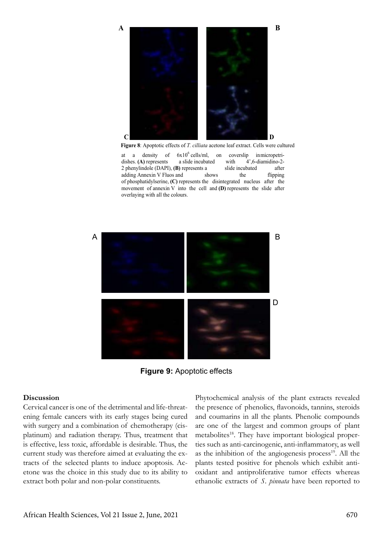

 **Figure 8**: Apoptotic effects of *T. cilliata* acetone leaf extract. Cells were cultured

at a density of  $6x10^6$  cells/ml, on coverslip inmicropetridishes. **(A)** represents a slide incubated with 2 phenylindole (DAPI), **(B)** represents a slide incubated after  $\alpha$  phenymhone (DAF1), (b) represents a since includated are attended and  $\alpha$  and  $\alpha$  shows the flipping of phosphatidylserine, (C) represents the disintegrated nucleus after the movement of annexin V into the cell and  $(D)$  represents the slide after overlaying with all the colours. nts a slide incubated with  $4^{\circ}$ , 6-diamidino-2- $\mu$  phenomenon conducts.  $\sum_{i=1}^{n}$  phenomenon slide include  $\sum_{i=1}^{n}$  represents a slide include  $\sum_{i=1}^{n}$  represents a slide include  $\sum_{i=1}^{n}$  represents a slide in  $\sum_{i=1}^{n}$  represents a slide of  $\sum_{i=1}^{n}$  represents a slide of



**Figure 9:** Apoptotic effects **Figure 9:** Apoptotic effects

#### **Discussion**

Cervical cancer is one of the detrimental and life-threatening female cancers with its early stages being cured with surgery and a combination of chemotherapy (cisplatinum) and radiation therapy. Thus, treatment that is effective, less toxic, affordable is desirable. Thus, the current study was therefore aimed at evaluating the extracts of the selected plants to induce apoptosis. Acetone was the choice in this study due to its ability to extract both polar and non-polar constituents.

Phytochemical analysis of the plant extracts revealed the presence of phenolics, flavonoids, tannins, steroids and coumarins in all the plants. Phenolic compounds are one of the largest and common groups of plant metabolites<sup>18</sup>. They have important biological properties such as anti-carcinogenic, anti-inflammatory, as well as the inhibition of the angiogenesis process<sup>19</sup>. All the plants tested positive for phenols which exhibit antioxidant and antiproliferative tumor effects whereas ethanolic extracts of *S. pinnata* have been reported to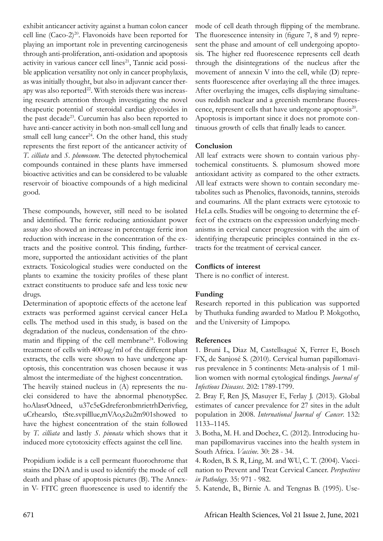exhibit anticancer activity against a human colon cancer cell line (Caco-2)<sup>20</sup>. Flavonoids have been reported for playing an important role in preventing carcinogenesis through anti-proliferation, anti-oxidation and apoptosis activity in various cancer cell lines<sup>21</sup>, Tannic acid possible application versatility not only in cancer prophylaxis, as was initially thought, but also in adjuvant cancer therapy was also reported<sup>22</sup>. With steroids there was increasing research attention through investigating the novel theapeutic potential of steroidal cardiac glycosides in the past decade<sup>23</sup>. Curcumin has also been reported to have anti-cancer activity in both non-small cell lung and small cell lung cancer<sup>24</sup>. On the other hand, this study represents the first report of the anticancer activity of *T. cilliata* and *S. plumosum*. The detected phytochemical compounds contained in these plants have immersed bioactive activities and can be considered to be valuable reservoir of bioactive compounds of a high medicinal good.

These compounds, however, still need to be isolated and identified. The ferric reducing antioxidant power assay also showed an increase in percentage ferric iron reduction with increase in the concentration of the extracts and the positive control. This finding, furthermore, supported the antioxidant activities of the plant extracts. Toxicological studies were conducted on the plants to examine the toxicity profiles of these plant extract constituents to produce safe and less toxic new drugs.

Determination of apoptotic effects of the acetone leaf extracts was performed against cervical cancer HeLa cells. The method used in this study, is based on the degradation of the nucleus, condensation of the chromatin and flipping of the cell membrane<sup>24</sup>. Following treatment of cells with 400 µg/ml of the different plant extracts, the cells were shown to have undergone apoptosis, this concentration was chosen because it was almost the intermediate of the highest concentration. The heavily stained nucleus in (A) represents the nuclei considered to have the abnormal phenotypSec. hoAlasrOdneed, u37c5eGdreferonbmrietrhDerivfieg, uCrhearslo, tSte.svpilllue,mVAo,s2u2m901showed to have the highest concentration of the stain followed by *T. cilliata* and lastly *S. pinnata* which shows that it induced more cytotoxicity effects against the cell line.

Propidium iodide is a cell permeant fluorochrome that stains the DNA and is used to identify the mode of cell death and phase of apoptosis pictures (B). The Annexin V- FITC green fluorescence is used to identify the

mode of cell death through flipping of the membrane. The fluorescence intensity in (figure 7, 8 and 9) represent the phase and amount of cell undergoing apoptosis. The higher red fluorescence represents cell death through the disintegrations of the nucleus after the movement of annexin V into the cell, while (D) represents fluorescence after overlaying all the three images. After overlaying the images, cells displaying simultaneous reddish nuclear and a greenish membrane fluorescence, represent cells that have undergone apoptosis<sup>20</sup>. Apoptosis is important since it does not promote continuous growth of cells that finally leads to cancer.

## **Conclusion**

All leaf extracts were shown to contain various phytochemical constituents. S. plumosum showed more antioxidant activity as compared to the other extracts. All leaf extracts were shown to contain secondary metabolites such as Phenolics, flavonoids, tannins, steroids and coumarins. All the plant extracts were cytotoxic to HeLa cells. Studies will be ongoing to determine the effect of the extracts on the expression underlying mechanisms in cervical cancer progression with the aim of identifying therapeutic principles contained in the extracts for the treatment of cervical cancer.

### **Conflicts of interest**

There is no conflict of interest.

# **Funding**

Research reported in this publication was supported by Thuthuka funding awarded to Matlou P. Mokgotho, and the University of Limpopo.

### **References**

1. Bruni L, Diaz M, Castellsagué X, Ferrer E, Bosch FX, de Sanjosé S. (2010). Cervical human papillomavirus prevalence in 5 continents: Meta-analysis of 1 million women with normal cytological findings. *Journal of Infectious Diseases*. 202: 1789-1799.

2. Bray F, Ren JS, Masuyer E, Ferlay J. (2013). Global estimates of cancer prevalence for 27 sites in the adult population in 2008. *International Journal of Cancer*. 132: 1133–1145.

3. Botha, M. H. and Dochez, C. (2012). Introducing human papillomavirus vaccines into the health system in South Africa. *Vaccine*. 30: 28 - 34.

4. Roden, B. S. R, Ling, M. and WU, C. T. (2004). Vaccination to Prevent and Treat Cervical Cancer. *Perspectives in Pathology*. 35: 971 - 982.

5. Katende, B., Birnie A. and Tengnas B. (1995). Use-